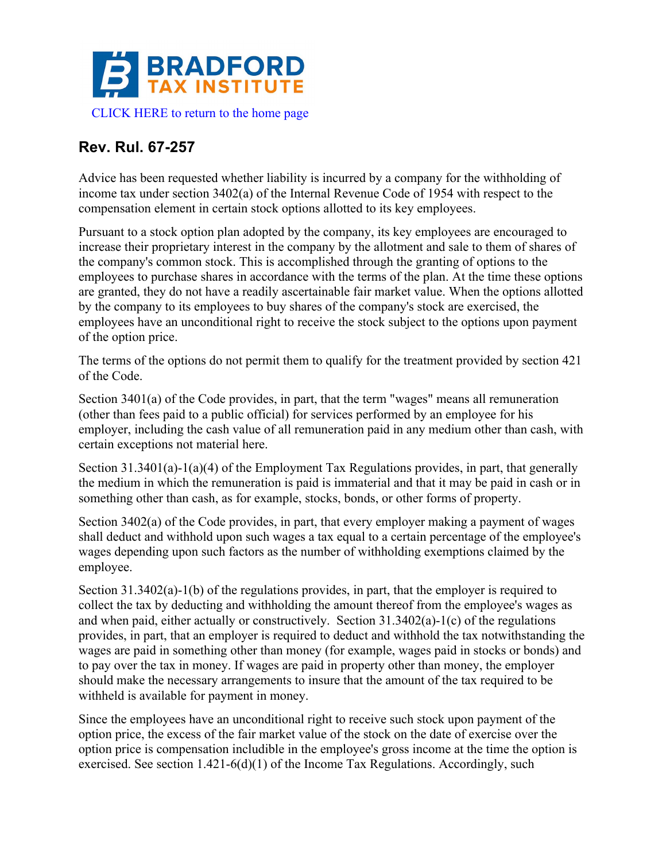

## **Rev. Rul. 67-257**

Advice has been requested whether liability is incurred by a company for the withholding of income tax under section 3402(a) of the Internal Revenue Code of 1954 with respect to the compensation element in certain stock options allotted to its key employees.

Pursuant to a stock option plan adopted by the company, its key employees are encouraged to increase their proprietary interest in the company by the allotment and sale to them of shares of the company's common stock. This is accomplished through the granting of options to the employees to purchase shares in accordance with the terms of the plan. At the time these options are granted, they do not have a readily ascertainable fair market value. When the options allotted by the company to its employees to buy shares of the company's stock are exercised, the employees have an unconditional right to receive the stock subject to the options upon payment of the option price.

The terms of the options do not permit them to qualify for the treatment provided by section 421 of the Code.

Section 3401(a) of the Code provides, in part, that the term "wages" means all remuneration (other than fees paid to a public official) for services performed by an employee for his employer, including the cash value of all remuneration paid in any medium other than cash, with certain exceptions not material here.

Section 31.3401(a)-1(a)(4) of the Employment Tax Regulations provides, in part, that generally the medium in which the remuneration is paid is immaterial and that it may be paid in cash or in something other than cash, as for example, stocks, bonds, or other forms of property.

Section 3402(a) of the Code provides, in part, that every employer making a payment of wages shall deduct and withhold upon such wages a tax equal to a certain percentage of the employee's wages depending upon such factors as the number of withholding exemptions claimed by the employee.

Section 31.3402(a)-1(b) of the regulations provides, in part, that the employer is required to collect the tax by deducting and withholding the amount thereof from the employee's wages as and when paid, either actually or constructively. Section 31.3402(a)-1(c) of the regulations provides, in part, that an employer is required to deduct and withhold the tax notwithstanding the wages are paid in something other than money (for example, wages paid in stocks or bonds) and to pay over the tax in money. If wages are paid in property other than money, the employer should make the necessary arrangements to insure that the amount of the tax required to be withheld is available for payment in money.

Since the employees have an unconditional right to receive such stock upon payment of the option price, the excess of the fair market value of the stock on the date of exercise over the option price is compensation includible in the employee's gross income at the time the option is exercised. See section 1.421-6(d)(1) of the Income Tax Regulations. Accordingly, such